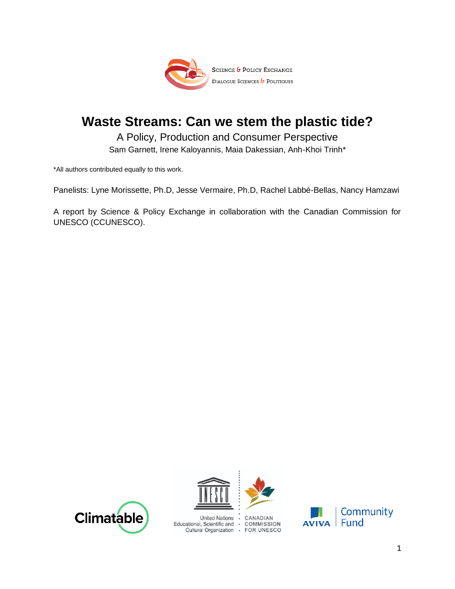

# **Waste Streams: Can we stem the plastic tide?**

A Policy, Production and Consumer Perspective Sam Garnett, Irene Kaloyannis, Maia Dakessian, Anh-Khoi Trinh\*

\*All authors contributed equally to this work.

Panelists: Lyne Morissette, Ph.D, Jesse Vermaire, Ph.D, Rachel Labbé-Bellas, Nancy Hamzawi

A report by Science & Policy Exchange in collaboration with the Canadian Commission for UNESCO (CCUNESCO).





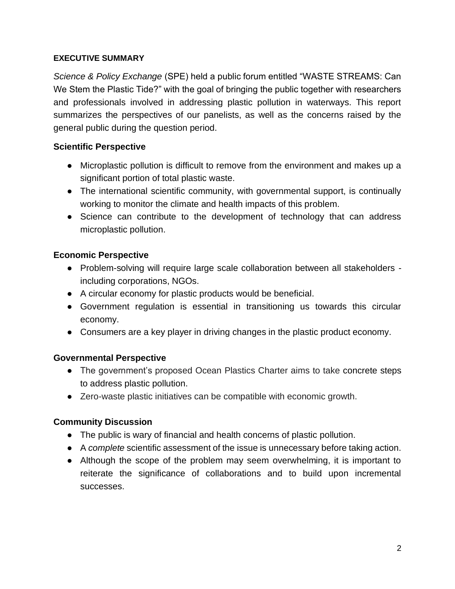#### **EXECUTIVE SUMMARY**

*Science & Policy Exchange* (SPE) held a public forum entitled "WASTE STREAMS: Can We Stem the Plastic Tide?" with the goal of bringing the public together with researchers and professionals involved in addressing plastic pollution in waterways. This report summarizes the perspectives of our panelists, as well as the concerns raised by the general public during the question period.

#### **Scientific Perspective**

- Microplastic pollution is difficult to remove from the environment and makes up a significant portion of total plastic waste.
- The international scientific community, with governmental support, is continually working to monitor the climate and health impacts of this problem.
- Science can contribute to the development of technology that can address microplastic pollution.

#### **Economic Perspective**

- Problem-solving will require large scale collaboration between all stakeholders including corporations, NGOs.
- A circular economy for plastic products would be beneficial.
- Government regulation is essential in transitioning us towards this circular economy.
- Consumers are a key player in driving changes in the plastic product economy.

#### **Governmental Perspective**

- The government's proposed Ocean Plastics Charter aims to take concrete steps to address plastic pollution.
- Zero-waste plastic initiatives can be compatible with economic growth.

#### **Community Discussion**

- The public is wary of financial and health concerns of plastic pollution.
- A *complete* scientific assessment of the issue is unnecessary before taking action.
- Although the scope of the problem may seem overwhelming, it is important to reiterate the significance of collaborations and to build upon incremental successes.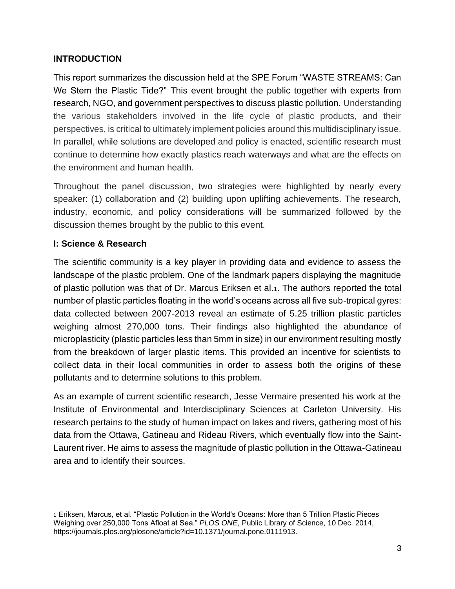### **INTRODUCTION**

This report summarizes the discussion held at the SPE Forum "WASTE STREAMS: Can We Stem the Plastic Tide?" This event brought the public together with experts from research, NGO, and government perspectives to discuss plastic pollution. Understanding the various stakeholders involved in the life cycle of plastic products, and their perspectives, is critical to ultimately implement policies around this multidisciplinary issue. In parallel, while solutions are developed and policy is enacted, scientific research must continue to determine how exactly plastics reach waterways and what are the effects on the environment and human health.

Throughout the panel discussion, two strategies were highlighted by nearly every speaker: (1) collaboration and (2) building upon uplifting achievements. The research, industry, economic, and policy considerations will be summarized followed by the discussion themes brought by the public to this event.

# **I: Science & Research**

The scientific community is a key player in providing data and evidence to assess the landscape of the plastic problem. One of the landmark papers displaying the magnitude of plastic pollution was that of Dr. Marcus Eriksen et al.1. The authors reported the total number of plastic particles floating in the world's oceans across all five sub-tropical gyres: data collected between 2007-2013 reveal an estimate of 5.25 trillion plastic particles weighing almost 270,000 tons. Their findings also highlighted the abundance of microplasticity (plastic particles less than 5mm in size) in our environment resulting mostly from the breakdown of larger plastic items. This provided an incentive for scientists to collect data in their local communities in order to assess both the origins of these pollutants and to determine solutions to this problem.

As an example of current scientific research, Jesse Vermaire presented his work at the Institute of Environmental and Interdisciplinary Sciences at Carleton University. His research pertains to the study of human impact on lakes and rivers, gathering most of his data from the Ottawa, Gatineau and Rideau Rivers, which eventually flow into the Saint-Laurent river. He aims to assess the magnitude of plastic pollution in the Ottawa-Gatineau area and to identify their sources.

<sup>1</sup> Eriksen, Marcus, et al. "Plastic Pollution in the World's Oceans: More than 5 Trillion Plastic Pieces Weighing over 250,000 Tons Afloat at Sea." *PLOS ONE*, Public Library of Science, 10 Dec. 2014, https://journals.plos.org/plosone/article?id=10.1371/journal.pone.0111913.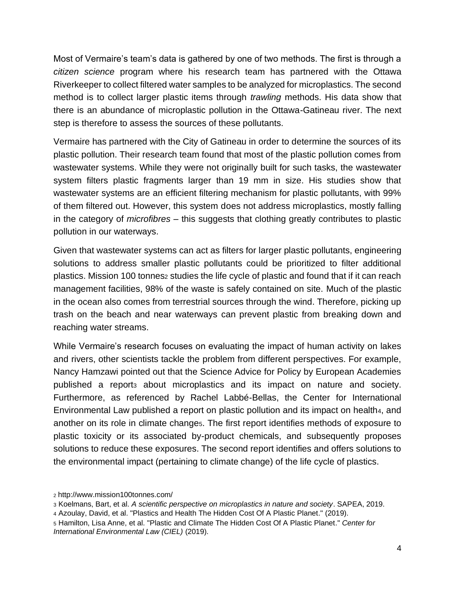Most of Vermaire's team's data is gathered by one of two methods. The first is through a *citizen science* program where his research team has partnered with the Ottawa Riverkeeper to collect filtered water samples to be analyzed for microplastics. The second method is to collect larger plastic items through *trawling* methods. His data show that there is an abundance of microplastic pollution in the Ottawa-Gatineau river. The next step is therefore to assess the sources of these pollutants.

Vermaire has partnered with the City of Gatineau in order to determine the sources of its plastic pollution. Their research team found that most of the plastic pollution comes from wastewater systems. While they were not originally built for such tasks, the wastewater system filters plastic fragments larger than 19 mm in size. His studies show that wastewater systems are an efficient filtering mechanism for plastic pollutants, with 99% of them filtered out. However, this system does not address microplastics, mostly falling in the category of *microfibres* – this suggests that clothing greatly contributes to plastic pollution in our waterways.

Given that wastewater systems can act as filters for larger plastic pollutants, engineering solutions to address smaller plastic pollutants could be prioritized to filter additional plastics. Mission 100 tonnes<sup>2</sup> studies the life cycle of plastic and found that if it can reach management facilities, 98% of the waste is safely contained on site. Much of the plastic in the ocean also comes from terrestrial sources through the wind. Therefore, picking up trash on the beach and near waterways can prevent plastic from breaking down and reaching water streams.

While Vermaire's research focuses on evaluating the impact of human activity on lakes and rivers, other scientists tackle the problem from different perspectives. For example, Nancy Hamzawi pointed out that the Science Advice for Policy by European Academies published a report<sub>3</sub> about microplastics and its impact on nature and society. Furthermore, as referenced by Rachel Labbé-Bellas, the Center for International Environmental Law published a report on plastic pollution and its impact on health4, and another on its role in climate changes. The first report identifies methods of exposure to plastic toxicity or its associated by-product chemicals, and subsequently proposes solutions to reduce these exposures. The second report identifies and offers solutions to the environmental impact (pertaining to climate change) of the life cycle of plastics.

<sup>2</sup> http://www.mission100tonnes.com/

<sup>3</sup> Koelmans, Bart, et al. *A scientific perspective on microplastics in nature and society*. SAPEA, 2019.

<sup>4</sup> Azoulay, David, et al. "Plastics and Health The Hidden Cost Of A Plastic Planet." (2019).

<sup>5</sup> Hamilton, Lisa Anne, et al. "Plastic and Climate The Hidden Cost Of A Plastic Planet." *Center for International Environmental Law (CIEL)* (2019).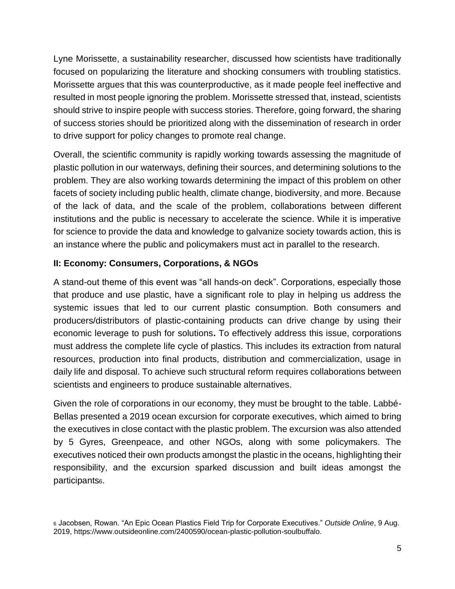Lyne Morissette, a sustainability researcher, discussed how scientists have traditionally focused on popularizing the literature and shocking consumers with troubling statistics. Morissette argues that this was counterproductive, as it made people feel ineffective and resulted in most people ignoring the problem. Morissette stressed that, instead, scientists should strive to inspire people with success stories. Therefore, going forward, the sharing of success stories should be prioritized along with the dissemination of research in order to drive support for policy changes to promote real change.

Overall, the scientific community is rapidly working towards assessing the magnitude of plastic pollution in our waterways, defining their sources, and determining solutions to the problem. They are also working towards determining the impact of this problem on other facets of society including public health, climate change, biodiversity, and more. Because of the lack of data, and the scale of the problem, collaborations between different institutions and the public is necessary to accelerate the science. While it is imperative for science to provide the data and knowledge to galvanize society towards action, this is an instance where the public and policymakers must act in parallel to the research.

#### **II: Economy: Consumers, Corporations, & NGOs**

A stand-out theme of this event was "all hands-on deck". Corporations, especially those that produce and use plastic, have a significant role to play in helping us address the systemic issues that led to our current plastic consumption. Both consumers and producers/distributors of plastic-containing products can drive change by using their economic leverage to push for solutions**.** To effectively address this issue, corporations must address the complete life cycle of plastics. This includes its extraction from natural resources, production into final products, distribution and commercialization, usage in daily life and disposal. To achieve such structural reform requires collaborations between scientists and engineers to produce sustainable alternatives.

Given the role of corporations in our economy, they must be brought to the table. Labbé-Bellas presented a 2019 ocean excursion for corporate executives, which aimed to bring the executives in close contact with the plastic problem. The excursion was also attended by 5 Gyres, Greenpeace, and other NGOs, along with some policymakers. The executives noticed their own products amongst the plastic in the oceans, highlighting their responsibility, and the excursion sparked discussion and built ideas amongst the participants6.

<sup>6</sup> Jacobsen, Rowan. "An Epic Ocean Plastics Field Trip for Corporate Executives." *Outside Online*, 9 Aug. 2019, https://www.outsideonline.com/2400590/ocean-plastic-pollution-soulbuffalo.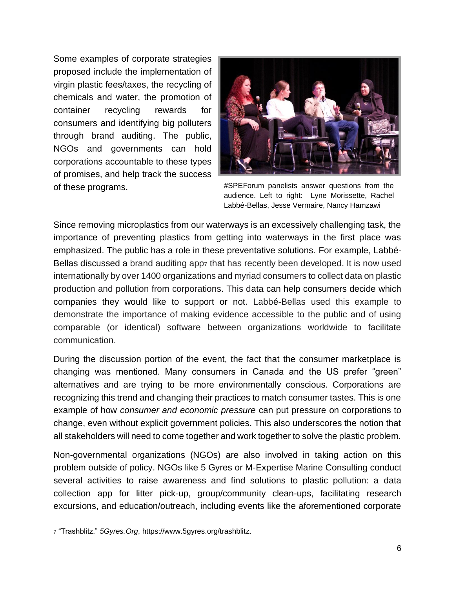Some examples of corporate strategies proposed include the implementation of virgin plastic fees/taxes, the recycling of chemicals and water, the promotion of container recycling rewards for consumers and identifying big polluters through brand auditing. The public, NGOs and governments can hold corporations accountable to these types of promises, and help track the success of these programs.



#SPEForum panelists answer questions from the audience. Left to right: Lyne Morissette, Rachel Labbé-Bellas, Jesse Vermaire, Nancy Hamzawi

Since removing microplastics from our waterways is an excessively challenging task, the importance of preventing plastics from getting into waterways in the first place was emphasized. The public has a role in these preventative solutions. For example, Labbé-Bellas discussed a brand auditing app<sup>7</sup> that has recently been developed. It is now used internationally by over 1400 organizations and myriad consumers to collect data on plastic production and pollution from corporations. This data can help consumers decide which companies they would like to support or not. Labbé-Bellas used this example to demonstrate the importance of making evidence accessible to the public and of using comparable (or identical) software between organizations worldwide to facilitate communication.

During the discussion portion of the event, the fact that the consumer marketplace is changing was mentioned. Many consumers in Canada and the US prefer "green" alternatives and are trying to be more environmentally conscious. Corporations are recognizing this trend and changing their practices to match consumer tastes. This is one example of how *consumer and economic pressure* can put pressure on corporations to change, even without explicit government policies. This also underscores the notion that all stakeholders will need to come together and work together to solve the plastic problem.

Non-governmental organizations (NGOs) are also involved in taking action on this problem outside of policy. NGOs like 5 Gyres or M-Expertise Marine Consulting conduct several activities to raise awareness and find solutions to plastic pollution: a data collection app for litter pick-up, group/community clean-ups, facilitating research excursions, and education/outreach, including events like the aforementioned corporate

<sup>7</sup> "Trashblitz." *5Gyres.Org*, https://www.5gyres.org/trashblitz.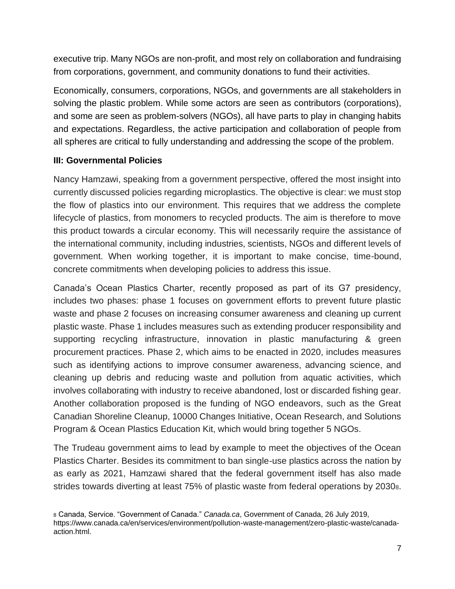executive trip. Many NGOs are non-profit, and most rely on collaboration and fundraising from corporations, government, and community donations to fund their activities.

Economically, consumers, corporations, NGOs, and governments are all stakeholders in solving the plastic problem. While some actors are seen as contributors (corporations), and some are seen as problem-solvers (NGOs), all have parts to play in changing habits and expectations. Regardless, the active participation and collaboration of people from all spheres are critical to fully understanding and addressing the scope of the problem.

#### **III: Governmental Policies**

Nancy Hamzawi, speaking from a government perspective, offered the most insight into currently discussed policies regarding microplastics. The objective is clear: we must stop the flow of plastics into our environment. This requires that we address the complete lifecycle of plastics, from monomers to recycled products. The aim is therefore to move this product towards a circular economy. This will necessarily require the assistance of the international community, including industries, scientists, NGOs and different levels of government. When working together, it is important to make concise, time-bound, concrete commitments when developing policies to address this issue.

Canada's Ocean Plastics Charter, recently proposed as part of its G7 presidency, includes two phases: phase 1 focuses on government efforts to prevent future plastic waste and phase 2 focuses on increasing consumer awareness and cleaning up current plastic waste. Phase 1 includes measures such as extending producer responsibility and supporting recycling infrastructure, innovation in plastic manufacturing & green procurement practices. Phase 2, which aims to be enacted in 2020, includes measures such as identifying actions to improve consumer awareness, advancing science, and cleaning up debris and reducing waste and pollution from aquatic activities, which involves collaborating with industry to receive abandoned, lost or discarded fishing gear. Another collaboration proposed is the funding of NGO endeavors, such as the Great Canadian Shoreline Cleanup, 10000 Changes Initiative, Ocean Research, and Solutions Program & Ocean Plastics Education Kit, which would bring together 5 NGOs.

The Trudeau government aims to lead by example to meet the objectives of the Ocean Plastics Charter. Besides its commitment to ban single-use plastics across the nation by as early as 2021, Hamzawi shared that the federal government itself has also made strides towards diverting at least 75% of plastic waste from federal operations by 20308.

<sup>8</sup> Canada, Service. "Government of Canada." *Canada.ca*, Government of Canada, 26 July 2019, https://www.canada.ca/en/services/environment/pollution-waste-management/zero-plastic-waste/canadaaction.html.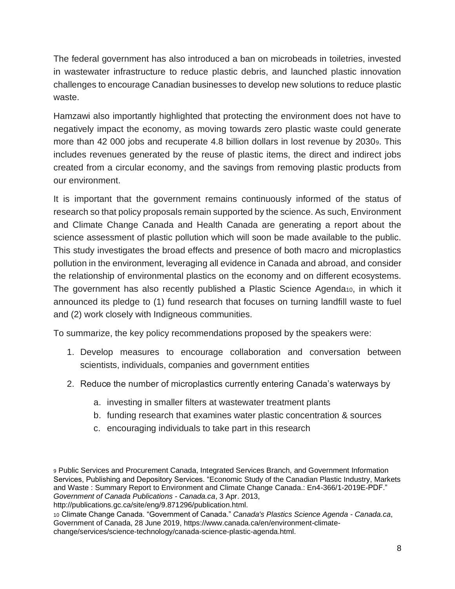The federal government has also introduced a ban on microbeads in toiletries, invested in wastewater infrastructure to reduce plastic debris, and launched plastic innovation challenges to encourage Canadian businesses to develop new solutions to reduce plastic waste.

Hamzawi also importantly highlighted that protecting the environment does not have to negatively impact the economy, as moving towards zero plastic waste could generate more than 42 000 jobs and recuperate 4.8 billion dollars in lost revenue by 20309. This includes revenues generated by the reuse of plastic items, the direct and indirect jobs created from a circular economy, and the savings from removing plastic products from our environment.

It is important that the government remains continuously informed of the status of research so that policy proposals remain supported by the science. As such, Environment and Climate Change Canada and Health Canada are generating a report about the science assessment of plastic pollution which will soon be made available to the public. This study investigates the broad effects and presence of both macro and microplastics pollution in the environment, leveraging all evidence in Canada and abroad, and consider the relationship of environmental plastics on the economy and on different ecosystems. The government has also recently published a Plastic Science Agenda<sub>10</sub>, in which it announced its pledge to (1) fund research that focuses on turning landfill waste to fuel and (2) work closely with Indigneous communities.

To summarize, the key policy recommendations proposed by the speakers were:

- 1. Develop measures to encourage collaboration and conversation between scientists, individuals, companies and government entities
- 2. Reduce the number of microplastics currently entering Canada's waterways by
	- a. investing in smaller filters at wastewater treatment plants
	- b. funding research that examines water plastic concentration & sources
	- c. encouraging individuals to take part in this research

http://publications.gc.ca/site/eng/9.871296/publication.html.

<sup>10</sup> Climate Change Canada. "Government of Canada." *Canada's Plastics Science Agenda - Canada.ca*, Government of Canada, 28 June 2019, https://www.canada.ca/en/environment-climatechange/services/science-technology/canada-science-plastic-agenda.html.

<sup>9</sup> Public Services and Procurement Canada, Integrated Services Branch, and Government Information Services, Publishing and Depository Services. "Economic Study of the Canadian Plastic Industry, Markets and Waste : Summary Report to Environment and Climate Change Canada.: En4-366/1-2019E-PDF." *Government of Canada Publications - Canada.ca*, 3 Apr. 2013,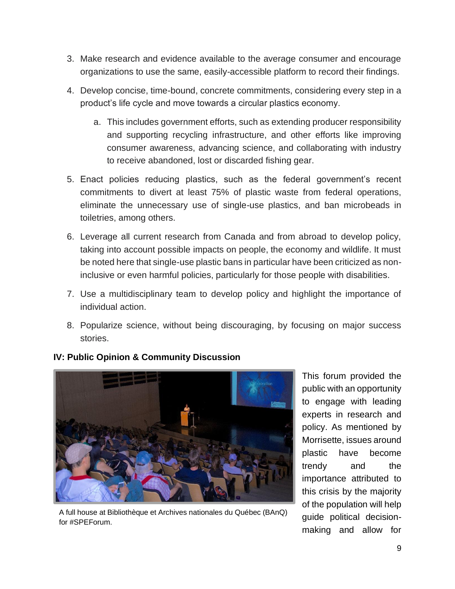- 3. Make research and evidence available to the average consumer and encourage organizations to use the same, easily-accessible platform to record their findings.
- 4. Develop concise, time-bound, concrete commitments, considering every step in a product's life cycle and move towards a circular plastics economy.
	- a. This includes government efforts, such as extending producer responsibility and supporting recycling infrastructure, and other efforts like improving consumer awareness, advancing science, and collaborating with industry to receive abandoned, lost or discarded fishing gear.
- 5. Enact policies reducing plastics, such as the federal government's recent commitments to divert at least 75% of plastic waste from federal operations, eliminate the unnecessary use of single-use plastics, and ban microbeads in toiletries, among others.
- 6. Leverage all current research from Canada and from abroad to develop policy, taking into account possible impacts on people, the economy and wildlife. It must be noted here that single-use plastic bans in particular have been criticized as noninclusive or even harmful policies, particularly for those people with disabilities.
- 7. Use a multidisciplinary team to develop policy and highlight the importance of individual action.
- 8. Popularize science, without being discouraging, by focusing on major success stories.



# **IV: Public Opinion & Community Discussion**

A full house at Bibliothèque et Archives nationales du Québec (BAnQ) for #SPEForum.

This forum provided the public with an opportunity to engage with leading experts in research and policy. As mentioned by Morrisette, issues around plastic have become trendy and the importance attributed to this crisis by the majority of the population will help guide political decisionmaking and allow for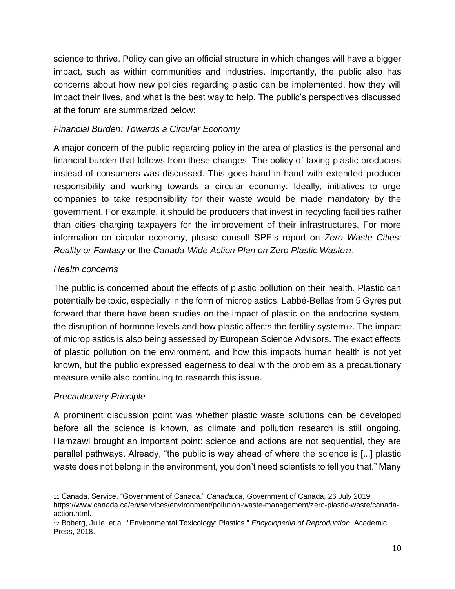science to thrive. Policy can give an official structure in which changes will have a bigger impact, such as within communities and industries. Importantly, the public also has concerns about how new policies regarding plastic can be implemented, how they will impact their lives, and what is the best way to help. The public's perspectives discussed at the forum are summarized below:

### *Financial Burden: Towards a Circular Economy*

A major concern of the public regarding policy in the area of plastics is the personal and financial burden that follows from these changes. The policy of taxing plastic producers instead of consumers was discussed. This goes hand-in-hand with extended producer responsibility and working towards a circular economy. Ideally, initiatives to urge companies to take responsibility for their waste would be made mandatory by the government. For example, it should be producers that invest in recycling facilities rather than cities charging taxpayers for the improvement of their infrastructures. For more information on circular economy, please consult SPE's report on *Zero Waste Cities: Reality or Fantasy* or the *Canada-Wide Action Plan on Zero Plastic Waste11*.

## *Health concerns*

The public is concerned about the effects of plastic pollution on their health. Plastic can potentially be toxic, especially in the form of microplastics. Labbé-Bellas from 5 Gyres put forward that there have been studies on the impact of plastic on the endocrine system, the disruption of hormone levels and how plastic affects the fertility system12. The impact of microplastics is also being assessed by European Science Advisors. The exact effects of plastic pollution on the environment, and how this impacts human health is not yet known, but the public expressed eagerness to deal with the problem as a precautionary measure while also continuing to research this issue.

#### *Precautionary Principle*

A prominent discussion point was whether plastic waste solutions can be developed before all the science is known, as climate and pollution research is still ongoing. Hamzawi brought an important point: science and actions are not sequential, they are parallel pathways. Already, "the public is way ahead of where the science is [...] plastic waste does not belong in the environment, you don't need scientists to tell you that." Many

<sup>11</sup> Canada, Service. "Government of Canada." *Canada.ca*, Government of Canada, 26 July 2019, https://www.canada.ca/en/services/environment/pollution-waste-management/zero-plastic-waste/canadaaction.html.

<sup>12</sup> Boberg, Julie, et al. "Environmental Toxicology: Plastics." *Encyclopedia of Reproduction*. Academic Press, 2018.